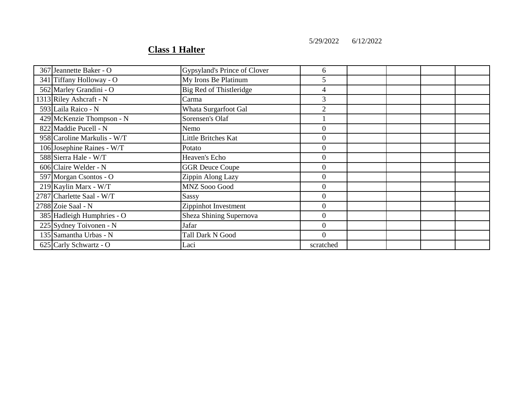5/29/2022 6/12/2022

## **Class 1 Halter**

| 367 Jeannette Baker - O     | Gypsyland's Prince of Clover | 6                |  |  |
|-----------------------------|------------------------------|------------------|--|--|
| 341 Tiffany Holloway - O    | My Irons Be Platinum         | 5                |  |  |
| 562 Marley Grandini - O     | Big Red of Thistleridge      | 4                |  |  |
| 1313 Riley Ashcraft - N     | Carma                        | 3                |  |  |
| 593 Laila Raico - N         | Whata Surgarfoot Gal         | $\overline{2}$   |  |  |
| 429 McKenzie Thompson - N   | Sorensen's Olaf              |                  |  |  |
| 822 Maddie Pucell - N       | Nemo                         | $\overline{0}$   |  |  |
| 958 Caroline Markulis - W/T | Little Britches Kat          | $\boldsymbol{0}$ |  |  |
| 106 Josephine Raines - W/T  | Potato                       | $\boldsymbol{0}$ |  |  |
| 588 Sierra Hale - W/T       | Heaven's Echo                | $\boldsymbol{0}$ |  |  |
| 606 Claire Welder - N       | <b>GGR Deuce Coupe</b>       | $\boldsymbol{0}$ |  |  |
| 597 Morgan Csontos - O      | Zippin Along Lazy            | $\boldsymbol{0}$ |  |  |
| 219 Kaylin Marx - W/T       | MNZ Sooo Good                | $\theta$         |  |  |
| 2787 Charlette Saal - W/T   | Sassy                        | $\overline{0}$   |  |  |
| 2788 Zoie Saal - N          | Zippinhot Investment         | $\overline{0}$   |  |  |
| 385 Hadleigh Humphries - O  | Sheza Shining Supernova      | $\theta$         |  |  |
| 225 Sydney Toivonen - N     | Jafar                        | $\Omega$         |  |  |
| 135 Samantha Urbas - N      | <b>Tall Dark N Good</b>      | $\Omega$         |  |  |
| 625 Carly Schwartz - O      | Laci                         | scratched        |  |  |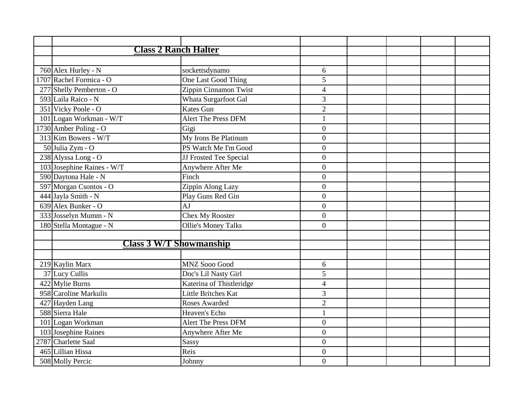| <b>Class 2 Ranch Halter</b>        |                            |                  |  |  |
|------------------------------------|----------------------------|------------------|--|--|
|                                    |                            |                  |  |  |
| 760 Alex Hurley - N                | sockettsdynamo             | 6                |  |  |
| 1707 Rachel Formica - O            | One Last Good Thing        | 5                |  |  |
| 277 Shelly Pemberton - O           | Zippin Cinnamon Twist      | $\overline{4}$   |  |  |
| 593 Laila Raico - N                | Whata Surgarfoot Gal       | 3                |  |  |
| 351 Vicky Poole - O                | <b>Kates Gun</b>           | $\overline{2}$   |  |  |
| 101 Logan Workman - W/T            | <b>Alert The Press DFM</b> | $\mathbf{1}$     |  |  |
| $\overline{1730}$ Amber Poling - O | Gigi                       | $\boldsymbol{0}$ |  |  |
| $313$ Kim Bowers - W/T             | My Irons Be Platinum       | $\boldsymbol{0}$ |  |  |
| 50 Julia Zym - O                   | PS Watch Me I'm Good       | $\overline{0}$   |  |  |
| 238 Alyssa Long - O                | JJ Frosted Tee Special     | $\boldsymbol{0}$ |  |  |
| 103 Josephine Raines - W/T         | Anywhere After Me          | $\overline{0}$   |  |  |
| 590 Daytona Hale - N               | Finch                      | $\boldsymbol{0}$ |  |  |
| 597 Morgan Csontos - O             | Zippin Along Lazy          | $\overline{0}$   |  |  |
| 444 Jayla Smith - N                | Play Guns Red Gin          | $\boldsymbol{0}$ |  |  |
| 639 Alex Bunker - O                | AJ                         | $\boldsymbol{0}$ |  |  |
| 333 Josselyn Mumm - N              | Chex My Rooster            | $\overline{0}$   |  |  |
| 180 Stella Montague - N            | <b>Ollie's Money Talks</b> | $\overline{0}$   |  |  |
|                                    |                            |                  |  |  |
| <b>Class 3 W/T Showmanship</b>     |                            |                  |  |  |
|                                    |                            |                  |  |  |
| 219 Kaylin Marx                    | <b>MNZ Sooo Good</b>       | 6                |  |  |
| 37 Lucy Cullis                     | Doc's Lil Nasty Girl       | $\overline{5}$   |  |  |
| 422 Mylie Burns                    | Katerina of Thistleridge   | $\overline{4}$   |  |  |
| 958 Caroline Markulis              | Little Britches Kat        | 3                |  |  |
| 427 Hayden Lang                    | <b>Roses Awarded</b>       | $\overline{2}$   |  |  |
| 588 Sierra Hale                    | Heaven's Echo              | 1                |  |  |
| 101 Logan Workman                  | <b>Alert The Press DFM</b> | $\overline{0}$   |  |  |
| 103 Josephine Raines               | Anywhere After Me          | $\boldsymbol{0}$ |  |  |
| 2787 Charlette Saal                | Sassy                      | $\boldsymbol{0}$ |  |  |
| 465 Lillian Hissa                  | Reis                       | $\mathbf{0}$     |  |  |
| 508 Molly Percic                   | Johnny                     | $\mathbf{0}$     |  |  |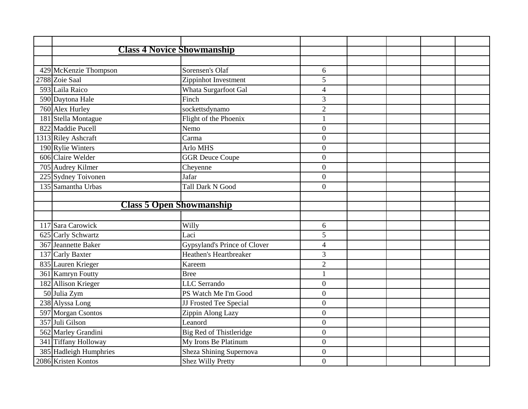| <b>Class 4 Novice Showmanship</b> |                              |                  |  |  |
|-----------------------------------|------------------------------|------------------|--|--|
|                                   |                              |                  |  |  |
| 429 McKenzie Thompson             | Sorensen's Olaf              | 6                |  |  |
| 2788 Zoie Saal                    | Zippinhot Investment         | 5                |  |  |
| 593 Laila Raico                   | Whata Surgarfoot Gal         | $\overline{4}$   |  |  |
| 590 Daytona Hale                  | Finch                        | 3                |  |  |
| 760 Alex Hurley                   | sockettsdynamo               | $\overline{2}$   |  |  |
| 181 Stella Montague               | Flight of the Phoenix        | $\mathbf{1}$     |  |  |
| 822 Maddie Pucell                 | Nemo                         | $\boldsymbol{0}$ |  |  |
| 1313 Riley Ashcraft               | Carma                        | $\boldsymbol{0}$ |  |  |
| 190 Rylie Winters                 | Arlo MHS                     | $\theta$         |  |  |
| 606 Claire Welder                 | <b>GGR</b> Deuce Coupe       | $\overline{0}$   |  |  |
| 705 Audrey Kilmer                 | Cheyenne                     | $\overline{0}$   |  |  |
| 225 Sydney Toivonen               | Jafar                        | $\boldsymbol{0}$ |  |  |
| 135 Samantha Urbas                | <b>Tall Dark N Good</b>      | $\overline{0}$   |  |  |
|                                   |                              |                  |  |  |
| <b>Class 5 Open Showmanship</b>   |                              |                  |  |  |
|                                   |                              |                  |  |  |
| 117 Sara Carowick                 | Willy                        | 6                |  |  |
| 625 Carly Schwartz                | Laci                         | 5                |  |  |
| 367 Jeannette Baker               | Gypsyland's Prince of Clover | $\overline{4}$   |  |  |
| 137 Carly Baxter                  | Heathen's Heartbreaker       | 3                |  |  |
| 835 Lauren Krieger                | Kareem                       | $\overline{2}$   |  |  |
| 361 Kamryn Foutty                 | <b>Bree</b>                  | $\mathbf{1}$     |  |  |
| 182 Allison Krieger               | <b>LLC</b> Serrando          | $\overline{0}$   |  |  |
| 50 Julia Zym                      | PS Watch Me I'm Good         | $\overline{0}$   |  |  |
| 238 Alyssa Long                   | JJ Frosted Tee Special       | $\boldsymbol{0}$ |  |  |
| 597 Morgan Csontos                | Zippin Along Lazy            | $\overline{0}$   |  |  |
| 357 Juli Gilson                   | Leanord                      | $\boldsymbol{0}$ |  |  |
| 562 Marley Grandini               | Big Red of Thistleridge      | $\overline{0}$   |  |  |
| 341 Tiffany Holloway              | My Irons Be Platinum         | $\overline{0}$   |  |  |
| 385 Hadleigh Humphries            | Sheza Shining Supernova      | $\boldsymbol{0}$ |  |  |
| 2086 Kristen Kontos               | <b>Shez Willy Pretty</b>     | $\overline{0}$   |  |  |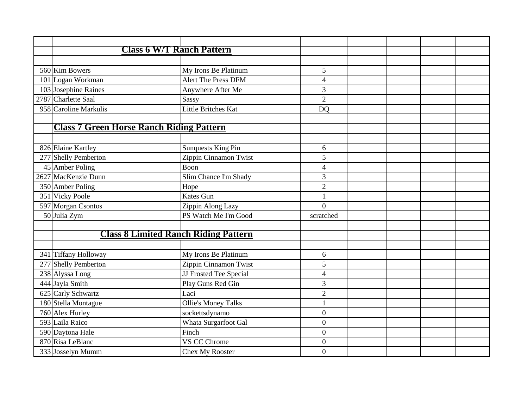| <b>Class 6 W/T Ranch Pattern</b>                |                            |                  |  |  |
|-------------------------------------------------|----------------------------|------------------|--|--|
|                                                 |                            |                  |  |  |
| 560 Kim Bowers                                  | My Irons Be Platinum       | 5                |  |  |
| 101 Logan Workman                               | <b>Alert The Press DFM</b> | $\overline{4}$   |  |  |
| 103 Josephine Raines                            | Anywhere After Me          | 3                |  |  |
| 2787 Charlette Saal                             | Sassy                      | $\overline{2}$   |  |  |
| 958 Caroline Markulis                           | Little Britches Kat        | <b>DQ</b>        |  |  |
| <b>Class 7 Green Horse Ranch Riding Pattern</b> |                            |                  |  |  |
|                                                 |                            |                  |  |  |
| 826 Elaine Kartley                              | <b>Sunquests King Pin</b>  | 6                |  |  |
| 277 Shelly Pemberton                            | Zippin Cinnamon Twist      | 5                |  |  |
| 45 Amber Poling                                 | Boon                       | $\overline{4}$   |  |  |
| 2627 MacKenzie Dunn                             | Slim Chance I'm Shady      | 3                |  |  |
| 350 Amber Poling                                | Hope                       | $\overline{2}$   |  |  |
| 351 Vicky Poole                                 | Kates Gun                  |                  |  |  |
| 597 Morgan Csontos                              | Zippin Along Lazy          | $\theta$         |  |  |
| 50 Julia Zym                                    | PS Watch Me I'm Good       | scratched        |  |  |
|                                                 |                            |                  |  |  |
| <b>Class 8 Limited Ranch Riding Pattern</b>     |                            |                  |  |  |
| 341 Tiffany Holloway                            | My Irons Be Platinum       | 6                |  |  |
| 277 Shelly Pemberton                            | Zippin Cinnamon Twist      | 5                |  |  |
| 238 Alyssa Long                                 | JJ Frosted Tee Special     | $\overline{4}$   |  |  |
| 444 Jayla Smith                                 | Play Guns Red Gin          | 3                |  |  |
| 625 Carly Schwartz                              | Laci                       | $\sqrt{2}$       |  |  |
| 180 Stella Montague                             | <b>Ollie's Money Talks</b> | $\mathbf{1}$     |  |  |
| 760 Alex Hurley                                 | sockettsdynamo             | $\overline{0}$   |  |  |
| 593 Laila Raico                                 | Whata Surgarfoot Gal       | $\overline{0}$   |  |  |
| 590 Daytona Hale                                | Finch                      | $\overline{0}$   |  |  |
| 870 Risa LeBlanc                                | VS CC Chrome               | $\boldsymbol{0}$ |  |  |
| 333 Josselyn Mumm                               | Chex My Rooster            | $\overline{0}$   |  |  |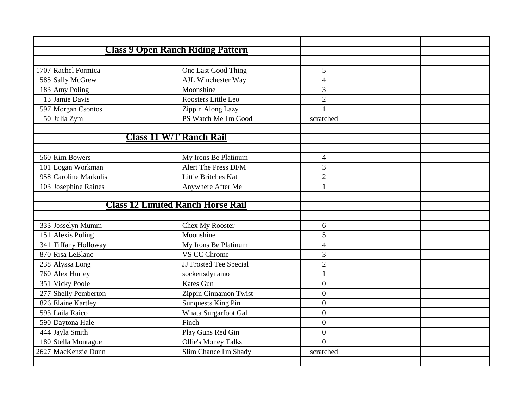| <b>Class 9 Open Ranch Riding Pattern</b> |                            |                  |  |  |
|------------------------------------------|----------------------------|------------------|--|--|
|                                          |                            |                  |  |  |
| 1707 Rachel Formica                      | One Last Good Thing        | 5                |  |  |
| 585 Sally McGrew                         | <b>AJL Winchester Way</b>  | $\overline{4}$   |  |  |
| 183 Amy Poling                           | Moonshine                  | 3                |  |  |
| 13 Jamie Davis                           | Roosters Little Leo        | $\overline{2}$   |  |  |
| 597 Morgan Csontos                       | Zippin Along Lazy          | $\mathbf{1}$     |  |  |
| 50 Julia Zym                             | PS Watch Me I'm Good       | scratched        |  |  |
|                                          |                            |                  |  |  |
| <b>Class 11 W/T Ranch Rail</b>           |                            |                  |  |  |
|                                          |                            |                  |  |  |
| 560 Kim Bowers                           | My Irons Be Platinum       | $\overline{4}$   |  |  |
| 101 Logan Workman                        | <b>Alert The Press DFM</b> | 3                |  |  |
| 958 Caroline Markulis                    | Little Britches Kat        | $\overline{2}$   |  |  |
| 103 Josephine Raines                     | Anywhere After Me          | $\mathbf{1}$     |  |  |
|                                          |                            |                  |  |  |
| <b>Class 12 Limited Ranch Horse Rail</b> |                            |                  |  |  |
|                                          |                            |                  |  |  |
| 333 Josselyn Mumm                        | <b>Chex My Rooster</b>     | 6                |  |  |
| 151 Alexis Poling                        | Moonshine                  | 5                |  |  |
| 341 Tiffany Holloway                     | My Irons Be Platinum       | $\overline{4}$   |  |  |
| 870 Risa LeBlanc                         | <b>VS CC Chrome</b>        | 3                |  |  |
| 238 Alyssa Long                          | JJ Frosted Tee Special     | $\overline{2}$   |  |  |
| 760 Alex Hurley                          | sockettsdynamo             | $\mathbf{1}$     |  |  |
| 351 Vicky Poole                          | <b>Kates Gun</b>           | $\overline{0}$   |  |  |
| 277 Shelly Pemberton                     | Zippin Cinnamon Twist      | $\boldsymbol{0}$ |  |  |
| 826 Elaine Kartley                       | <b>Sunquests King Pin</b>  | $\overline{0}$   |  |  |
| 593 Laila Raico                          | Whata Surgarfoot Gal       | $\overline{0}$   |  |  |
| 590 Daytona Hale                         | Finch                      | $\overline{0}$   |  |  |
| 444 Jayla Smith                          | Play Guns Red Gin          | $\overline{0}$   |  |  |
| 180 Stella Montague                      | <b>Ollie's Money Talks</b> | $\overline{0}$   |  |  |
| 2627 MacKenzie Dunn                      | Slim Chance I'm Shady      | scratched        |  |  |
|                                          |                            |                  |  |  |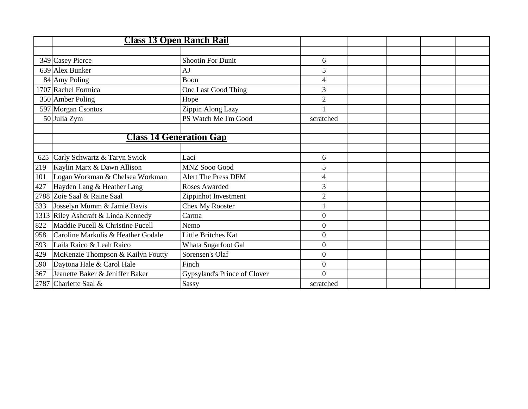|     | <b>Class 13 Open Ranch Rail</b>     |                              |                  |  |  |
|-----|-------------------------------------|------------------------------|------------------|--|--|
|     |                                     |                              |                  |  |  |
|     | 349 Casey Pierce                    | <b>Shootin For Dunit</b>     | 6                |  |  |
|     | 639 Alex Bunker                     | AJ                           | 5                |  |  |
|     | 84 Amy Poling                       | Boon                         | 4                |  |  |
|     | 1707 Rachel Formica                 | One Last Good Thing          | 3                |  |  |
|     | 350 Amber Poling                    | Hope                         | $\overline{2}$   |  |  |
|     | 597 Morgan Csontos                  | Zippin Along Lazy            |                  |  |  |
|     | 50 Julia Zym                        | PS Watch Me I'm Good         | scratched        |  |  |
|     |                                     |                              |                  |  |  |
|     | <b>Class 14 Generation Gap</b>      |                              |                  |  |  |
|     |                                     |                              |                  |  |  |
|     | 625 Carly Schwartz & Taryn Swick    | Laci                         | 6                |  |  |
| 219 | Kaylin Marx & Dawn Allison          | <b>MNZ Sooo Good</b>         | 5                |  |  |
| 101 | Logan Workman & Chelsea Workman     | Alert The Press DFM          | 4                |  |  |
| 427 | Hayden Lang & Heather Lang          | Roses Awarded                | 3                |  |  |
|     | 2788 Zoie Saal & Raine Saal         | Zippinhot Investment         | $\overline{2}$   |  |  |
| 333 | Josselyn Mumm & Jamie Davis         | <b>Chex My Rooster</b>       |                  |  |  |
|     | 1313 Riley Ashcraft & Linda Kennedy | Carma                        | $\boldsymbol{0}$ |  |  |
| 822 | Maddie Pucell & Christine Pucell    | Nemo                         | $\overline{0}$   |  |  |
| 958 | Caroline Markulis & Heather Godale  | Little Britches Kat          | $\boldsymbol{0}$ |  |  |
| 593 | Laila Raico & Leah Raico            | Whata Sugarfoot Gal          | $\overline{0}$   |  |  |
| 429 | McKenzie Thompson & Kailyn Foutty   | Sorensen's Olaf              | $\overline{0}$   |  |  |
| 590 | Daytona Hale & Carol Hale           | Finch                        | $\overline{0}$   |  |  |
| 367 | Jeanette Baker & Jeniffer Baker     | Gypsyland's Prince of Clover | $\theta$         |  |  |
|     | 2787 Charlette Saal &               | Sassy                        | scratched        |  |  |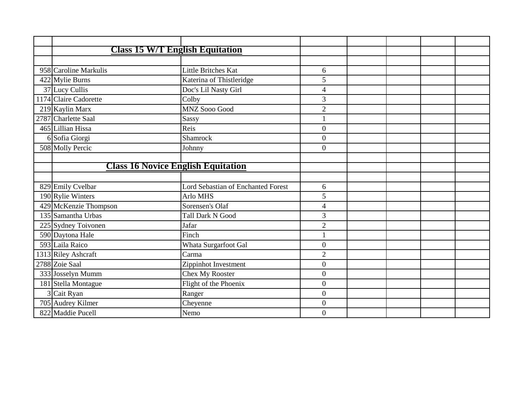|   | <b>Class 15 W/T English Equitation</b>    |                                    |                  |  |  |
|---|-------------------------------------------|------------------------------------|------------------|--|--|
|   |                                           |                                    |                  |  |  |
|   | 958 Caroline Markulis                     | Little Britches Kat                | 6                |  |  |
|   | 422 Mylie Burns                           | Katerina of Thistleridge           | 5                |  |  |
|   | 37 Lucy Cullis                            | Doc's Lil Nasty Girl               | $\overline{4}$   |  |  |
|   | 1174 Claire Cadorette                     | Colby                              | 3                |  |  |
|   | 219 Kaylin Marx                           | <b>MNZ Sooo Good</b>               | $\overline{2}$   |  |  |
|   | 2787 Charlette Saal                       | Sassy                              | $\mathbf{1}$     |  |  |
|   | 465 Lillian Hissa                         | Reis                               | $\mathbf{0}$     |  |  |
|   | 6 Sofia Giorgi                            | Shamrock                           | $\boldsymbol{0}$ |  |  |
|   | 508 Molly Percic                          | Johnny                             | $\Omega$         |  |  |
|   |                                           |                                    |                  |  |  |
|   | <b>Class 16 Novice English Equitation</b> |                                    |                  |  |  |
|   |                                           |                                    |                  |  |  |
|   | 829 Emily Cvelbar                         | Lord Sebastian of Enchanted Forest | 6                |  |  |
|   | 190 Rylie Winters                         | Arlo MHS                           | 5                |  |  |
|   | 429 McKenzie Thompson                     | Sorensen's Olaf                    | $\overline{4}$   |  |  |
|   | 135 Samantha Urbas                        | <b>Tall Dark N Good</b>            | $\overline{3}$   |  |  |
|   | 225 Sydney Toivonen                       | Jafar                              | $\overline{2}$   |  |  |
|   | 590 Daytona Hale                          | Finch                              |                  |  |  |
|   | 593 Laila Raico                           | Whata Surgarfoot Gal               | $\overline{0}$   |  |  |
|   | 1313 Riley Ashcraft                       | Carma                              | $\overline{2}$   |  |  |
|   | 2788 Zoie Saal                            | Zippinhot Investment               | $\boldsymbol{0}$ |  |  |
|   | 333 Josselyn Mumm                         | Chex My Rooster                    | $\overline{0}$   |  |  |
|   | 181 Stella Montague                       | Flight of the Phoenix              | $\overline{0}$   |  |  |
| 3 | Cait Ryan                                 | Ranger                             | $\boldsymbol{0}$ |  |  |
|   | 705 Audrey Kilmer                         | Cheyenne                           | $\overline{0}$   |  |  |
|   | 822 Maddie Pucell                         | Nemo                               | $\theta$         |  |  |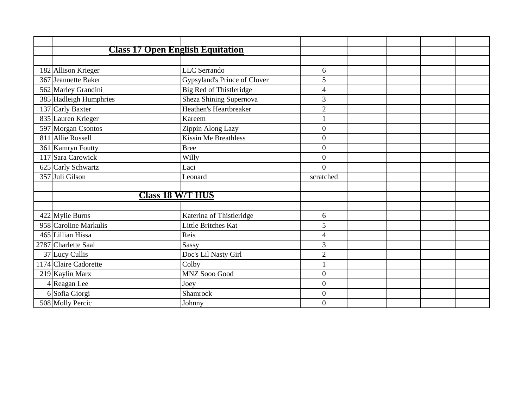|                        | <b>Class 17 Open English Equitation</b> |                                                 |                |  |  |
|------------------------|-----------------------------------------|-------------------------------------------------|----------------|--|--|
|                        |                                         |                                                 |                |  |  |
| 182 Allison Krieger    |                                         | <b>LLC</b> Serrando                             | 6              |  |  |
| 367 Jeannette Baker    |                                         | Gypsyland's Prince of Clover                    | 5              |  |  |
| 562 Marley Grandini    |                                         | Big Red of Thistleridge                         | 4              |  |  |
| 385 Hadleigh Humphries |                                         | Sheza Shining Supernova                         | 3              |  |  |
| 137 Carly Baxter       |                                         | Heathen's Heartbreaker                          | $\overline{2}$ |  |  |
| 835 Lauren Krieger     |                                         | Kareem                                          |                |  |  |
| 597 Morgan Csontos     |                                         | Zippin Along Lazy                               | $\overline{0}$ |  |  |
| 811 Allie Russell      |                                         | <b>Kissin Me Breathless</b>                     | $\mathbf{0}$   |  |  |
| 361 Kamryn Foutty      |                                         | <b>Bree</b>                                     | $\overline{0}$ |  |  |
| 117 Sara Carowick      |                                         | Willy                                           | $\overline{0}$ |  |  |
| 625 Carly Schwartz     |                                         | Laci                                            | $\overline{0}$ |  |  |
| 357 Juli Gilson        |                                         | Leonard                                         | scratched      |  |  |
|                        | <b>Class 18 W/T HUS</b>                 |                                                 |                |  |  |
|                        |                                         |                                                 |                |  |  |
| 422 Mylie Burns        |                                         |                                                 | 6              |  |  |
| 958 Caroline Markulis  |                                         | Katerina of Thistleridge<br>Little Britches Kat | 5              |  |  |
| 465 Lillian Hissa      |                                         | Reis                                            |                |  |  |
|                        |                                         |                                                 | 4              |  |  |
| 2787 Charlette Saal    |                                         | <b>Sassy</b>                                    | 3              |  |  |
| 37 Lucy Cullis         |                                         | Doc's Lil Nasty Girl                            | $\overline{2}$ |  |  |
| 1174 Claire Cadorette  |                                         | Colby                                           |                |  |  |
| 219 Kaylin Marx        |                                         | MNZ Sooo Good                                   | $\overline{0}$ |  |  |
| 4 Reagan Lee           |                                         | Joey                                            | $\overline{0}$ |  |  |
| 6 Sofia Giorgi         |                                         | Shamrock                                        | $\theta$       |  |  |
| 508 Molly Percic       |                                         | Johnny                                          | $\mathbf{0}$   |  |  |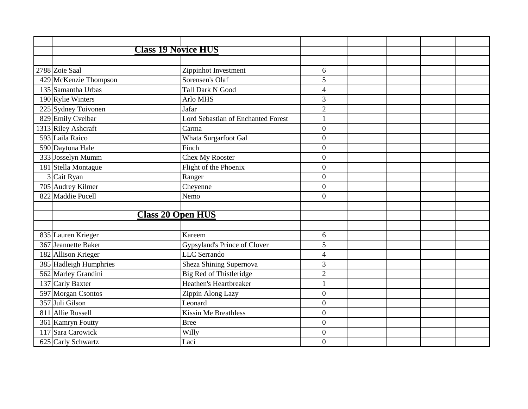| <b>Class 19 Novice HUS</b> |                                           |                |  |  |
|----------------------------|-------------------------------------------|----------------|--|--|
|                            |                                           |                |  |  |
| 2788 Zoie Saal             | Zippinhot Investment                      | 6              |  |  |
| 429 McKenzie Thompson      | Sorensen's Olaf                           | 5              |  |  |
| 135 Samantha Urbas         | <b>Tall Dark N Good</b>                   | $\overline{4}$ |  |  |
| 190 Rylie Winters          | Arlo MHS                                  | 3              |  |  |
| 225 Sydney Toivonen        | Jafar                                     | $\overline{2}$ |  |  |
| 829 Emily Cvelbar          | <b>Lord Sebastian of Enchanted Forest</b> | $\mathbf{1}$   |  |  |
| 1313 Riley Ashcraft        | Carma                                     | $\overline{0}$ |  |  |
| 593 Laila Raico            | Whata Surgarfoot Gal                      | $\overline{0}$ |  |  |
| 590 Daytona Hale           | Finch                                     | $\overline{0}$ |  |  |
| 333 Josselyn Mumm          | Chex My Rooster                           | $\theta$       |  |  |
| 181 Stella Montague        | Flight of the Phoenix                     | $\mathbf{0}$   |  |  |
| 3 Cait Ryan                | Ranger                                    | $\overline{0}$ |  |  |
| 705 Audrey Kilmer          | Cheyenne                                  | $\theta$       |  |  |
| 822 Maddie Pucell          | Nemo                                      | $\overline{0}$ |  |  |
|                            |                                           |                |  |  |
| <b>Class 20 Open HUS</b>   |                                           |                |  |  |
|                            |                                           |                |  |  |
| 835 Lauren Krieger         | Kareem                                    | 6              |  |  |
| 367 Jeannette Baker        | Gypsyland's Prince of Clover              | 5              |  |  |
| 182 Allison Krieger        | <b>LLC</b> Serrando                       | $\overline{4}$ |  |  |
| 385 Hadleigh Humphries     | Sheza Shining Supernova                   | 3              |  |  |
| 562 Marley Grandini        | Big Red of Thistleridge                   | $\overline{2}$ |  |  |
| 137 Carly Baxter           | Heathen's Heartbreaker                    | 1              |  |  |
| 597 Morgan Csontos         | Zippin Along Lazy                         | $\overline{0}$ |  |  |
| 357 Juli Gilson            | Leonard                                   | $\mathbf{0}$   |  |  |
| 811 Allie Russell          | <b>Kissin Me Breathless</b>               | $\overline{0}$ |  |  |
| 361 Kamryn Foutty          | <b>Bree</b>                               | $\overline{0}$ |  |  |
| 117 Sara Carowick          | Willy                                     | $\overline{0}$ |  |  |
| 625 Carly Schwartz         | Laci                                      | $\overline{0}$ |  |  |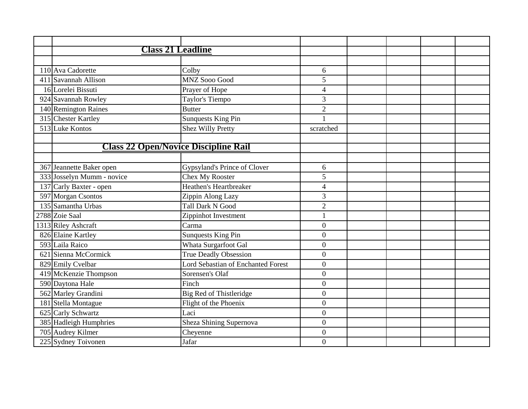| <b>Class 21 Leadline</b>                    |                                    |                          |  |  |
|---------------------------------------------|------------------------------------|--------------------------|--|--|
|                                             |                                    |                          |  |  |
| 110 Ava Cadorette                           | Colby                              | 6                        |  |  |
| 411 Savannah Allison                        | <b>MNZ Sooo Good</b>               | 5                        |  |  |
| 16 Lorelei Bissuti                          | Prayer of Hope                     | $\overline{4}$           |  |  |
| 924 Savannah Rowley                         | Taylor's Tiempo                    | 3                        |  |  |
| 140 Remington Raines                        | <b>Butter</b>                      | $\overline{2}$           |  |  |
| 315 Chester Kartley                         | <b>Sunquests King Pin</b>          |                          |  |  |
| 513 Luke Kontos                             | <b>Shez Willy Pretty</b>           | scratched                |  |  |
|                                             |                                    |                          |  |  |
| <b>Class 22 Open/Novice Discipline Rail</b> |                                    |                          |  |  |
|                                             |                                    |                          |  |  |
| 367 Jeannette Baker open                    | Gypsyland's Prince of Clover       | 6                        |  |  |
| 333 Josselyn Mumm - novice                  | Chex My Rooster                    | 5                        |  |  |
| 137 Carly Baxter - open                     | <b>Heathen's Heartbreaker</b>      | $\overline{\mathcal{A}}$ |  |  |
| 597 Morgan Csontos                          | Zippin Along Lazy                  | 3                        |  |  |
| 135 Samantha Urbas                          | <b>Tall Dark N Good</b>            | $\mathbf{2}$             |  |  |
| 2788 Zoie Saal                              | Zippinhot Investment               | 1                        |  |  |
| 1313 Riley Ashcraft                         | Carma                              | $\overline{0}$           |  |  |
| 826 Elaine Kartley                          | <b>Sunquests King Pin</b>          | $\overline{0}$           |  |  |
| 593 Laila Raico                             | Whata Surgarfoot Gal               | $\overline{0}$           |  |  |
| 621 Sienna McCormick                        | <b>True Deadly Obsession</b>       | $\overline{0}$           |  |  |
| 829 Emily Cvelbar                           | Lord Sebastian of Enchanted Forest | $\overline{0}$           |  |  |
| 419 McKenzie Thompson                       | Sorensen's Olaf                    | $\boldsymbol{0}$         |  |  |
| 590 Daytona Hale                            | Finch                              | $\overline{0}$           |  |  |
| 562 Marley Grandini                         | <b>Big Red of Thistleridge</b>     | $\overline{0}$           |  |  |
| 181 Stella Montague                         | Flight of the Phoenix              | $\boldsymbol{0}$         |  |  |
| 625 Carly Schwartz                          | Laci                               | $\overline{0}$           |  |  |
| 385 Hadleigh Humphries                      | Sheza Shining Supernova            | $\boldsymbol{0}$         |  |  |
| 705 Audrey Kilmer                           | Cheyenne                           | $\overline{0}$           |  |  |
| 225 Sydney Toivonen                         | Jafar                              | $\boldsymbol{0}$         |  |  |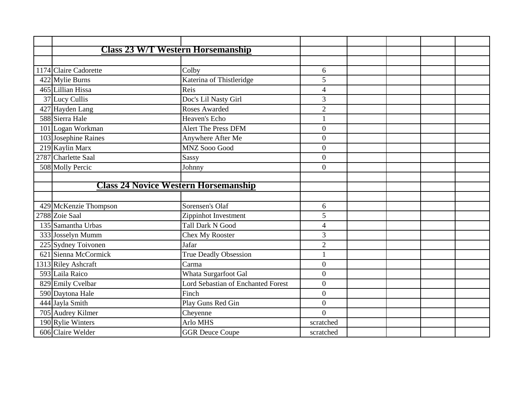| <b>Class 23 W/T Western Horsemanship</b>    |                                           |                  |  |  |
|---------------------------------------------|-------------------------------------------|------------------|--|--|
|                                             |                                           |                  |  |  |
| 1174 Claire Cadorette                       | Colby                                     | 6                |  |  |
| 422 Mylie Burns                             | Katerina of Thistleridge                  | 5                |  |  |
| 465 Lillian Hissa                           | Reis                                      | $\overline{4}$   |  |  |
| 37 Lucy Cullis                              | Doc's Lil Nasty Girl                      | 3                |  |  |
| 427 Hayden Lang                             | <b>Roses Awarded</b>                      | $\overline{2}$   |  |  |
| 588 Sierra Hale                             | Heaven's Echo                             |                  |  |  |
| 101 Logan Workman                           | <b>Alert The Press DFM</b>                | $\overline{0}$   |  |  |
| 103 Josephine Raines                        | Anywhere After Me                         | $\overline{0}$   |  |  |
| 219 Kaylin Marx                             | <b>MNZ Sooo Good</b>                      | $\boldsymbol{0}$ |  |  |
| 2787 Charlette Saal                         | Sassy                                     | $\mathbf{0}$     |  |  |
| 508 Molly Percic                            | Johnny                                    | $\Omega$         |  |  |
|                                             |                                           |                  |  |  |
| <b>Class 24 Novice Western Horsemanship</b> |                                           |                  |  |  |
|                                             |                                           |                  |  |  |
| 429 McKenzie Thompson                       | Sorensen's Olaf                           | 6                |  |  |
| 2788 Zoie Saal                              | Zippinhot Investment                      | 5                |  |  |
| 135 Samantha Urbas                          | <b>Tall Dark N Good</b>                   | $\overline{4}$   |  |  |
| 333 Josselyn Mumm                           | Chex My Rooster                           | 3                |  |  |
| 225 Sydney Toivonen                         | Jafar                                     | $\overline{2}$   |  |  |
| 621 Sienna McCormick                        | <b>True Deadly Obsession</b>              | 1                |  |  |
| 1313 Riley Ashcraft                         | Carma                                     | $\overline{0}$   |  |  |
| 593 Laila Raico                             | Whata Surgarfoot Gal                      | $\overline{0}$   |  |  |
| 829 Emily Cvelbar                           | <b>Lord Sebastian of Enchanted Forest</b> | $\overline{0}$   |  |  |
| 590 Daytona Hale                            | Finch                                     | $\overline{0}$   |  |  |
| 444 Jayla Smith                             | Play Guns Red Gin                         | $\mathbf{0}$     |  |  |
| 705 Audrey Kilmer                           | Cheyenne                                  | $\theta$         |  |  |
| 190 Rylie Winters                           | Arlo MHS                                  | scratched        |  |  |
| 606 Claire Welder                           | <b>GGR</b> Deuce Coupe                    | scratched        |  |  |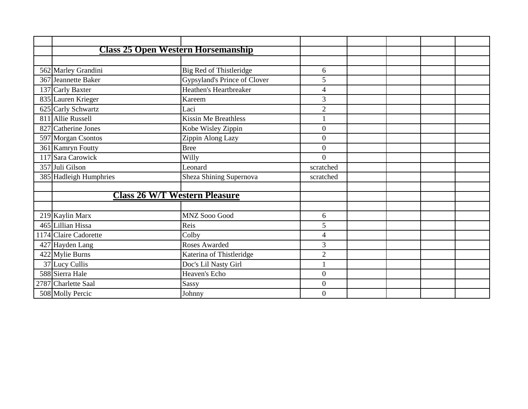|                        | <b>Class 25 Open Western Horsemanship</b> |                |  |  |
|------------------------|-------------------------------------------|----------------|--|--|
|                        |                                           |                |  |  |
| 562 Marley Grandini    | Big Red of Thistleridge                   | 6              |  |  |
| 367 Jeannette Baker    | Gypsyland's Prince of Clover              | 5              |  |  |
| 137 Carly Baxter       | Heathen's Heartbreaker                    | 4              |  |  |
| 835 Lauren Krieger     | Kareem                                    | $\mathfrak{Z}$ |  |  |
| 625 Carly Schwartz     | Laci                                      | $\overline{2}$ |  |  |
| 811 Allie Russell      | <b>Kissin Me Breathless</b>               |                |  |  |
| 827 Catherine Jones    | Kobe Wisley Zippin                        | $\overline{0}$ |  |  |
| 597 Morgan Csontos     | Zippin Along Lazy                         | $\overline{0}$ |  |  |
| 361 Kamryn Foutty      | <b>Bree</b>                               | $\overline{0}$ |  |  |
| 117 Sara Carowick      | Willy                                     | $\overline{0}$ |  |  |
| 357 Juli Gilson        | Leonard                                   | scratched      |  |  |
| 385 Hadleigh Humphries | Sheza Shining Supernova                   | scratched      |  |  |
|                        |                                           |                |  |  |
|                        | <b>Class 26 W/T Western Pleasure</b>      |                |  |  |
|                        |                                           |                |  |  |
| 219 Kaylin Marx        | <b>MNZ Sooo Good</b>                      | 6              |  |  |
| 465 Lillian Hissa      | Reis                                      | 5              |  |  |
| 1174 Claire Cadorette  | Colby                                     | 4              |  |  |
| 427 Hayden Lang        | <b>Roses Awarded</b>                      | 3              |  |  |
| 422 Mylie Burns        | Katerina of Thistleridge                  | $\overline{2}$ |  |  |
| 37 Lucy Cullis         | Doc's Lil Nasty Girl                      |                |  |  |
| 588 Sierra Hale        | Heaven's Echo                             | $\overline{0}$ |  |  |
| 2787 Charlette Saal    | Sassy                                     | $\overline{0}$ |  |  |
| 508 Molly Percic       | Johnny                                    | $\Omega$       |  |  |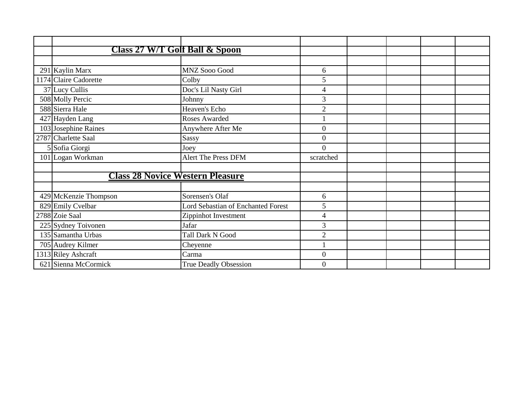|                       | Class 27 W/T Golf Ball & Spoon            |                  |  |
|-----------------------|-------------------------------------------|------------------|--|
|                       |                                           |                  |  |
| 291 Kaylin Marx       | <b>MNZ Sooo Good</b>                      | 6                |  |
| 1174 Claire Cadorette | Colby                                     | 5                |  |
| 37 Lucy Cullis        | Doc's Lil Nasty Girl                      | 4                |  |
| 508 Molly Percic      | Johnny                                    | $\overline{3}$   |  |
| 588 Sierra Hale       | Heaven's Echo                             | $\overline{2}$   |  |
| 427 Hayden Lang       | Roses Awarded                             |                  |  |
| 103 Josephine Raines  | Anywhere After Me                         | $\boldsymbol{0}$ |  |
| 2787 Charlette Saal   | Sassy                                     | $\overline{0}$   |  |
| 5 Sofia Giorgi        | Joey                                      | $\Omega$         |  |
| 101 Logan Workman     | <b>Alert The Press DFM</b>                | scratched        |  |
|                       | <b>Class 28 Novice Western Pleasure</b>   |                  |  |
| 429 McKenzie Thompson | Sorensen's Olaf                           | 6                |  |
| 829 Emily Cvelbar     | <b>Lord Sebastian of Enchanted Forest</b> | 5                |  |
| 2788 Zoie Saal        | Zippinhot Investment                      | $\overline{4}$   |  |
| 225 Sydney Toivonen   | Jafar                                     | $\overline{3}$   |  |
| 135 Samantha Urbas    | <b>Tall Dark N Good</b>                   | $\overline{2}$   |  |
| 705 Audrey Kilmer     | Cheyenne                                  |                  |  |
| 1313 Riley Ashcraft   | Carma                                     | $\overline{0}$   |  |
| 621 Sienna McCormick  | <b>True Deadly Obsession</b>              | $\Omega$         |  |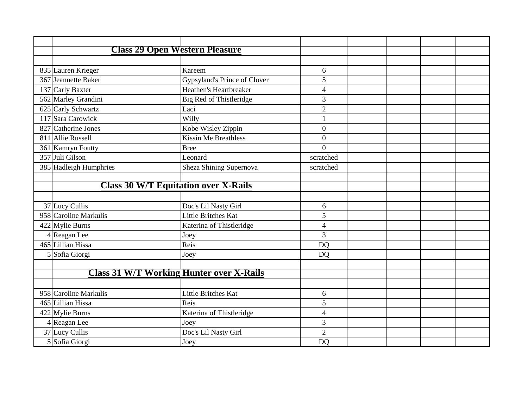| <b>Class 29 Open Western Pleasure</b> |                                                 |                  |  |  |
|---------------------------------------|-------------------------------------------------|------------------|--|--|
|                                       |                                                 |                  |  |  |
| 835 Lauren Krieger                    | Kareem                                          | 6                |  |  |
| 367 Jeannette Baker                   | Gypsyland's Prince of Clover                    | 5                |  |  |
| 137 Carly Baxter                      | Heathen's Heartbreaker                          | $\overline{4}$   |  |  |
| 562 Marley Grandini                   | Big Red of Thistleridge                         | 3                |  |  |
| 625 Carly Schwartz                    | Laci                                            | $\overline{2}$   |  |  |
| 117 Sara Carowick                     | Willy                                           | $\mathbf{1}$     |  |  |
| 827 Catherine Jones                   | Kobe Wisley Zippin                              | $\boldsymbol{0}$ |  |  |
| 811 Allie Russell                     | <b>Kissin Me Breathless</b>                     | $\overline{0}$   |  |  |
| 361 Kamryn Foutty                     | <b>Bree</b>                                     | $\overline{0}$   |  |  |
| 357 Juli Gilson                       | Leonard                                         | scratched        |  |  |
| 385 Hadleigh Humphries                | Sheza Shining Supernova                         | scratched        |  |  |
|                                       |                                                 |                  |  |  |
|                                       | <b>Class 30 W/T Equitation over X-Rails</b>     |                  |  |  |
|                                       |                                                 |                  |  |  |
| 37 Lucy Cullis                        | Doc's Lil Nasty Girl                            | 6                |  |  |
| 958 Caroline Markulis                 | Little Britches Kat                             | 5                |  |  |
| 422 Mylie Burns                       | Katerina of Thistleridge                        | $\overline{4}$   |  |  |
| Reagan Lee                            | Joey                                            | 3                |  |  |
| 465 Lillian Hissa                     | Reis                                            | <b>DQ</b>        |  |  |
| 5 Sofia Giorgi                        | Joey                                            | <b>DQ</b>        |  |  |
|                                       |                                                 |                  |  |  |
|                                       | <b>Class 31 W/T Working Hunter over X-Rails</b> |                  |  |  |
|                                       |                                                 |                  |  |  |
| 958 Caroline Markulis                 | Little Britches Kat                             | 6                |  |  |
| 465 Lillian Hissa                     | Reis                                            | 5                |  |  |
| 422 Mylie Burns                       | Katerina of Thistleridge                        | $\overline{4}$   |  |  |
| 4 Reagan Lee                          | Joey                                            | 3                |  |  |
| 37 Lucy Cullis                        | Doc's Lil Nasty Girl                            | $\overline{2}$   |  |  |
| 5 Sofia Giorgi                        | Joey                                            | <b>DO</b>        |  |  |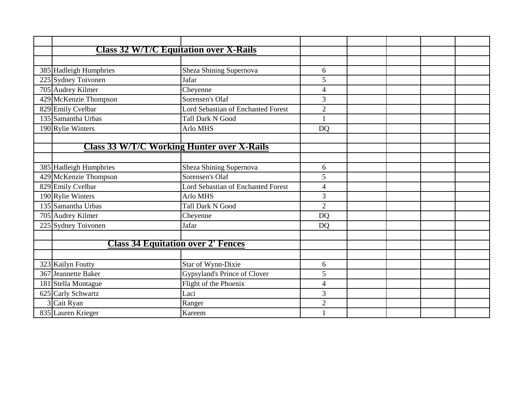| <b>Class 32 W/T/C Equitation over X-Rails</b> |                                                   |                |  |  |
|-----------------------------------------------|---------------------------------------------------|----------------|--|--|
|                                               |                                                   |                |  |  |
| 385 Hadleigh Humphries                        | Sheza Shining Supernova                           | 6              |  |  |
| 225 Sydney Toivonen                           | Jafar                                             | 5              |  |  |
| 705 Audrey Kilmer                             | Cheyenne                                          | $\overline{4}$ |  |  |
| 429 McKenzie Thompson                         | Sorensen's Olaf                                   | 3              |  |  |
| 829 Emily Cvelbar                             | <b>Lord Sebastian of Enchanted Forest</b>         | $\overline{2}$ |  |  |
| 135 Samantha Urbas                            | <b>Tall Dark N Good</b>                           |                |  |  |
| 190 Rylie Winters                             | Arlo MHS                                          | <b>DQ</b>      |  |  |
|                                               |                                                   |                |  |  |
|                                               | <b>Class 33 W/T/C Working Hunter over X-Rails</b> |                |  |  |
|                                               |                                                   |                |  |  |
| 385 Hadleigh Humphries                        | Sheza Shining Supernova                           | 6              |  |  |
| 429 McKenzie Thompson                         | Sorensen's Olaf                                   | 5              |  |  |
| 829 Emily Cvelbar                             | Lord Sebastian of Enchanted Forest                | $\overline{4}$ |  |  |
| 190 Rylie Winters                             | Arlo MHS                                          | 3              |  |  |
| 135 Samantha Urbas                            | <b>Tall Dark N Good</b>                           | $\overline{2}$ |  |  |
| 705 Audrey Kilmer                             | Cheyenne                                          | <b>DQ</b>      |  |  |
| 225 Sydney Toivonen                           | Jafar                                             | <b>DQ</b>      |  |  |
|                                               |                                                   |                |  |  |
|                                               | <b>Class 34 Equitation over 2' Fences</b>         |                |  |  |
|                                               |                                                   |                |  |  |
| 323 Kailyn Foutty                             | Star of Wynn-Dixie                                | 6              |  |  |
| 367 Jeannette Baker                           | Gypsyland's Prince of Clover                      | 5              |  |  |
| 181 Stella Montague                           | Flight of the Phoenix                             | $\overline{4}$ |  |  |
| 625 Carly Schwartz                            | Laci                                              | 3              |  |  |
| 3 Cait Ryan                                   | Ranger                                            | $\overline{2}$ |  |  |
| 835 Lauren Krieger                            | Kareem                                            |                |  |  |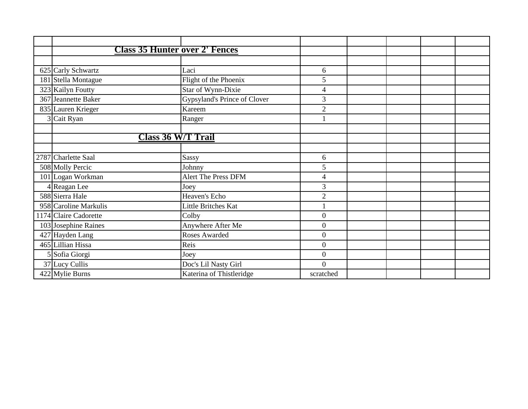| <b>Class 35 Hunter over 2' Fences</b> |                              |                  |  |  |
|---------------------------------------|------------------------------|------------------|--|--|
|                                       |                              |                  |  |  |
| 625 Carly Schwartz                    | Laci                         | 6                |  |  |
| 181 Stella Montague                   | Flight of the Phoenix        | 5                |  |  |
| 323 Kailyn Foutty                     | Star of Wynn-Dixie           | 4                |  |  |
| 367 Jeannette Baker                   | Gypsyland's Prince of Clover | 3                |  |  |
| 835 Lauren Krieger                    | Kareem                       | $\overline{2}$   |  |  |
| 3 Cait Ryan                           | Ranger                       |                  |  |  |
|                                       |                              |                  |  |  |
| <b>Class 36 W/T Trail</b>             |                              |                  |  |  |
|                                       |                              |                  |  |  |
| 2787 Charlette Saal                   | <b>Sassy</b>                 | 6                |  |  |
| 508 Molly Percic                      | Johnny                       | 5                |  |  |
| 101 Logan Workman                     | <b>Alert The Press DFM</b>   | 4                |  |  |
| 4 Reagan Lee                          | Joey                         | 3                |  |  |
| 588 Sierra Hale                       | Heaven's Echo                | $\overline{2}$   |  |  |
| 958 Caroline Markulis                 | Little Britches Kat          |                  |  |  |
| 1174 Claire Cadorette                 | Colby                        | $\boldsymbol{0}$ |  |  |
| 103 Josephine Raines                  | Anywhere After Me            | $\boldsymbol{0}$ |  |  |
| 427 Hayden Lang                       | Roses Awarded                | $\boldsymbol{0}$ |  |  |
| 465 Lillian Hissa                     | Reis                         | $\mathbf{0}$     |  |  |
| 5 Sofia Giorgi                        | Joey                         | $\boldsymbol{0}$ |  |  |
| 37 Lucy Cullis                        | Doc's Lil Nasty Girl         | $\theta$         |  |  |
| 422 Mylie Burns                       | Katerina of Thistleridge     | scratched        |  |  |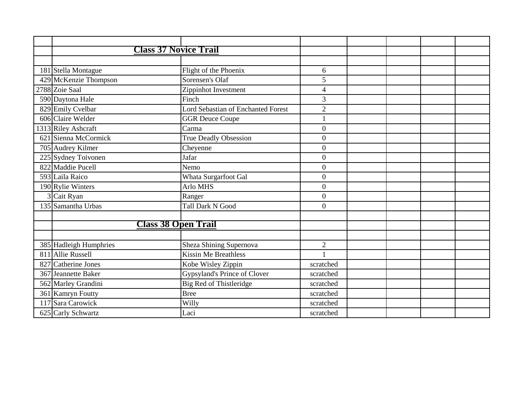|                        | <b>Class 37 Novice Trail</b>              |                  |  |  |
|------------------------|-------------------------------------------|------------------|--|--|
|                        |                                           |                  |  |  |
| 181 Stella Montague    | Flight of the Phoenix                     | 6                |  |  |
| 429 McKenzie Thompson  | Sorensen's Olaf                           | 5                |  |  |
| 2788 Zoie Saal         | Zippinhot Investment                      | $\overline{4}$   |  |  |
| 590 Daytona Hale       | Finch                                     | 3                |  |  |
| 829 Emily Cvelbar      | <b>Lord Sebastian of Enchanted Forest</b> | $\overline{2}$   |  |  |
| 606 Claire Welder      | <b>GGR Deuce Coupe</b>                    | 1                |  |  |
| 1313 Riley Ashcraft    | Carma                                     | $\boldsymbol{0}$ |  |  |
| 621 Sienna McCormick   | True Deadly Obsession                     | $\overline{0}$   |  |  |
| 705 Audrey Kilmer      | Cheyenne                                  | $\overline{0}$   |  |  |
| 225 Sydney Toivonen    | Jafar                                     | $\overline{0}$   |  |  |
| 822 Maddie Pucell      | Nemo                                      | $\overline{0}$   |  |  |
| 593 Laila Raico        | Whata Surgarfoot Gal                      | $\overline{0}$   |  |  |
| 190 Rylie Winters      | <b>Arlo MHS</b>                           | $\overline{0}$   |  |  |
| 3 Cait Ryan            | Ranger                                    | $\overline{0}$   |  |  |
| 135 Samantha Urbas     | <b>Tall Dark N Good</b>                   | $\overline{0}$   |  |  |
|                        |                                           |                  |  |  |
|                        | <b>Class 38 Open Trail</b>                |                  |  |  |
|                        |                                           |                  |  |  |
| 385 Hadleigh Humphries | Sheza Shining Supernova                   | $\overline{2}$   |  |  |
| 811 Allie Russell      | <b>Kissin Me Breathless</b>               | $\mathbf{1}$     |  |  |
| 827 Catherine Jones    | Kobe Wisley Zippin                        | scratched        |  |  |
| 367 Jeannette Baker    | Gypsyland's Prince of Clover              | scratched        |  |  |
| 562 Marley Grandini    | Big Red of Thistleridge                   | scratched        |  |  |
| 361 Kamryn Foutty      | <b>Bree</b>                               | scratched        |  |  |
| 117 Sara Carowick      | Willy                                     | scratched        |  |  |
| 625 Carly Schwartz     | Laci                                      | scratched        |  |  |